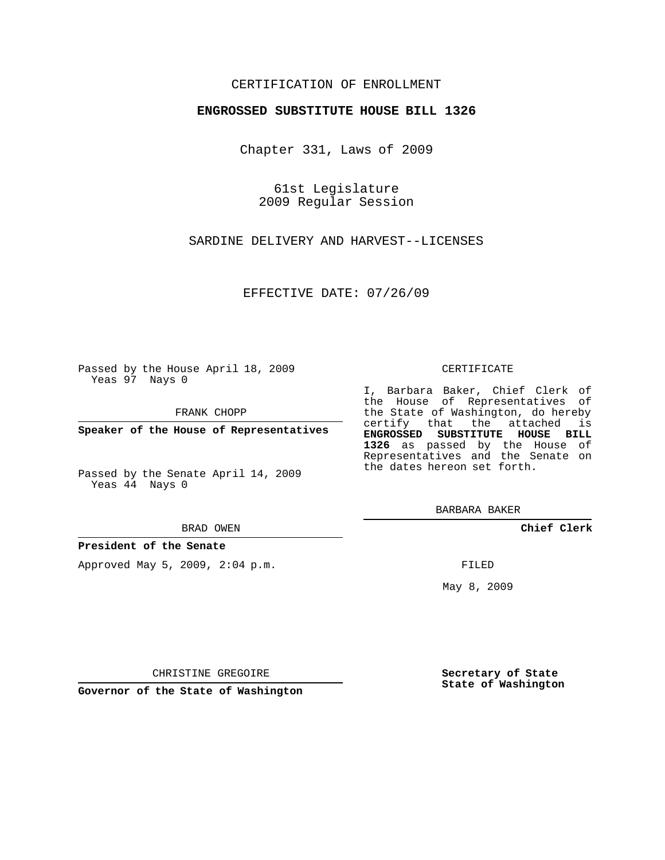## CERTIFICATION OF ENROLLMENT

### **ENGROSSED SUBSTITUTE HOUSE BILL 1326**

Chapter 331, Laws of 2009

61st Legislature 2009 Regular Session

SARDINE DELIVERY AND HARVEST--LICENSES

EFFECTIVE DATE: 07/26/09

Passed by the House April 18, 2009 Yeas 97 Nays 0

FRANK CHOPP

**Speaker of the House of Representatives**

Passed by the Senate April 14, 2009 Yeas 44 Nays 0

#### BRAD OWEN

#### **President of the Senate**

Approved May 5, 2009, 2:04 p.m.

#### CERTIFICATE

I, Barbara Baker, Chief Clerk of the House of Representatives of the State of Washington, do hereby certify that the attached is **ENGROSSED SUBSTITUTE HOUSE BILL 1326** as passed by the House of Representatives and the Senate on the dates hereon set forth.

BARBARA BAKER

**Chief Clerk**

FILED

May 8, 2009

**Secretary of State State of Washington**

CHRISTINE GREGOIRE

**Governor of the State of Washington**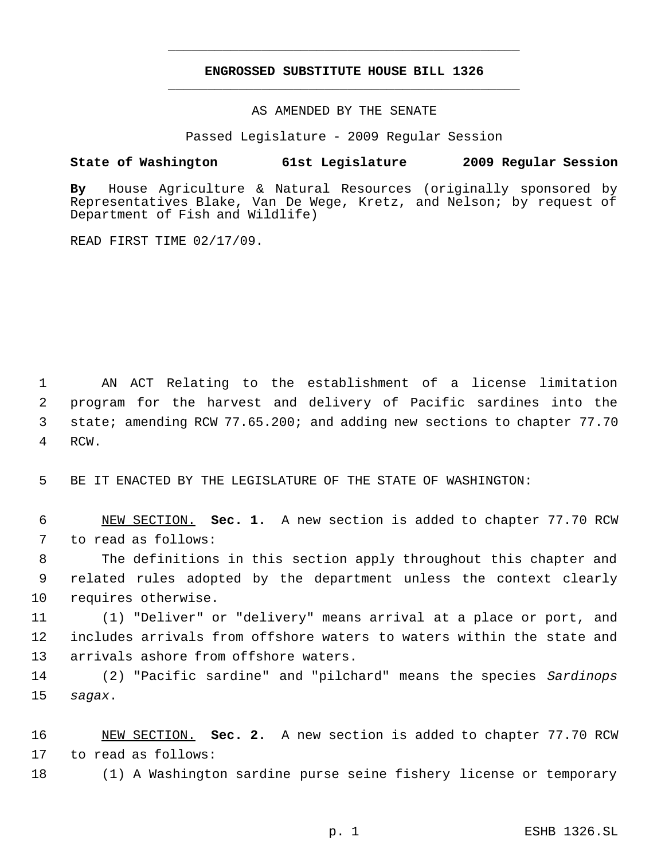# **ENGROSSED SUBSTITUTE HOUSE BILL 1326** \_\_\_\_\_\_\_\_\_\_\_\_\_\_\_\_\_\_\_\_\_\_\_\_\_\_\_\_\_\_\_\_\_\_\_\_\_\_\_\_\_\_\_\_\_

\_\_\_\_\_\_\_\_\_\_\_\_\_\_\_\_\_\_\_\_\_\_\_\_\_\_\_\_\_\_\_\_\_\_\_\_\_\_\_\_\_\_\_\_\_

AS AMENDED BY THE SENATE

Passed Legislature - 2009 Regular Session

## **State of Washington 61st Legislature 2009 Regular Session**

**By** House Agriculture & Natural Resources (originally sponsored by Representatives Blake, Van De Wege, Kretz, and Nelson; by request of Department of Fish and Wildlife)

READ FIRST TIME 02/17/09.

 AN ACT Relating to the establishment of a license limitation program for the harvest and delivery of Pacific sardines into the state; amending RCW 77.65.200; and adding new sections to chapter 77.70 RCW.

BE IT ENACTED BY THE LEGISLATURE OF THE STATE OF WASHINGTON:

 NEW SECTION. **Sec. 1.** A new section is added to chapter 77.70 RCW to read as follows:

 The definitions in this section apply throughout this chapter and related rules adopted by the department unless the context clearly requires otherwise.

 (1) "Deliver" or "delivery" means arrival at a place or port, and includes arrivals from offshore waters to waters within the state and arrivals ashore from offshore waters.

 (2) "Pacific sardine" and "pilchard" means the species *Sardinops sagax*.

 NEW SECTION. **Sec. 2.** A new section is added to chapter 77.70 RCW to read as follows:

(1) A Washington sardine purse seine fishery license or temporary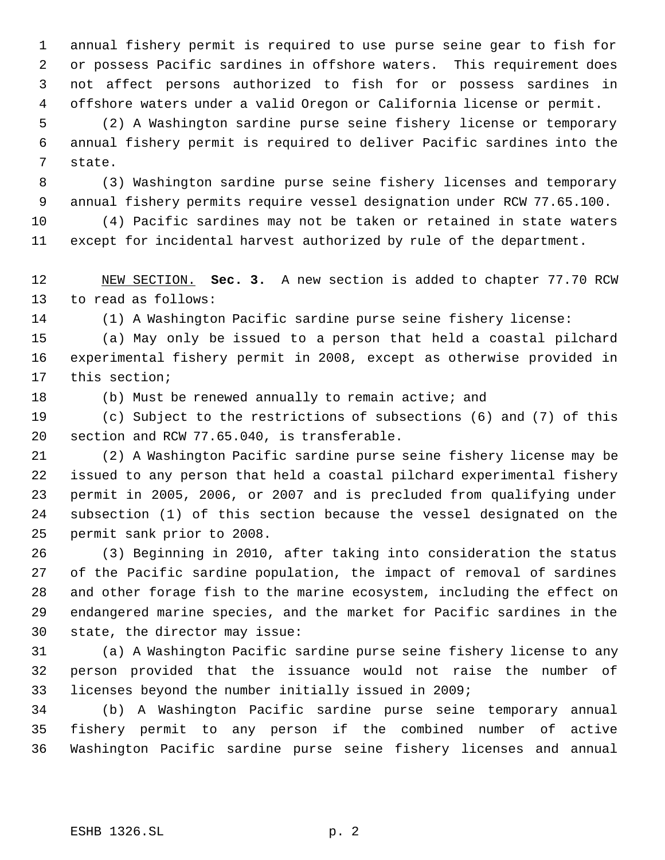annual fishery permit is required to use purse seine gear to fish for or possess Pacific sardines in offshore waters. This requirement does not affect persons authorized to fish for or possess sardines in offshore waters under a valid Oregon or California license or permit.

 (2) A Washington sardine purse seine fishery license or temporary annual fishery permit is required to deliver Pacific sardines into the state.

 (3) Washington sardine purse seine fishery licenses and temporary annual fishery permits require vessel designation under RCW 77.65.100.

 (4) Pacific sardines may not be taken or retained in state waters except for incidental harvest authorized by rule of the department.

 NEW SECTION. **Sec. 3.** A new section is added to chapter 77.70 RCW to read as follows:

(1) A Washington Pacific sardine purse seine fishery license:

 (a) May only be issued to a person that held a coastal pilchard experimental fishery permit in 2008, except as otherwise provided in this section;

(b) Must be renewed annually to remain active; and

 (c) Subject to the restrictions of subsections (6) and (7) of this section and RCW 77.65.040, is transferable.

 (2) A Washington Pacific sardine purse seine fishery license may be issued to any person that held a coastal pilchard experimental fishery permit in 2005, 2006, or 2007 and is precluded from qualifying under subsection (1) of this section because the vessel designated on the permit sank prior to 2008.

 (3) Beginning in 2010, after taking into consideration the status of the Pacific sardine population, the impact of removal of sardines and other forage fish to the marine ecosystem, including the effect on endangered marine species, and the market for Pacific sardines in the state, the director may issue:

 (a) A Washington Pacific sardine purse seine fishery license to any person provided that the issuance would not raise the number of licenses beyond the number initially issued in 2009;

 (b) A Washington Pacific sardine purse seine temporary annual fishery permit to any person if the combined number of active Washington Pacific sardine purse seine fishery licenses and annual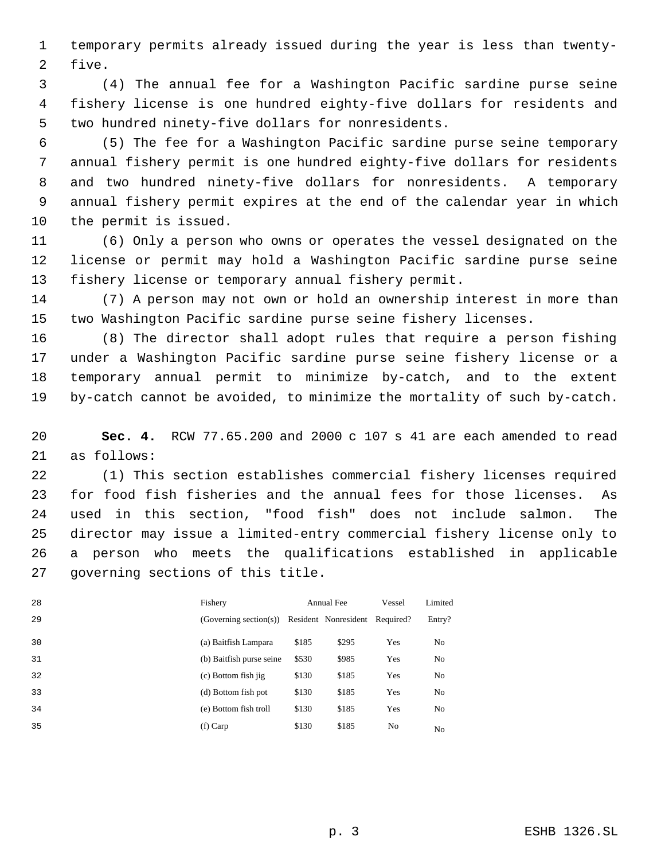temporary permits already issued during the year is less than twenty- five.

 (4) The annual fee for a Washington Pacific sardine purse seine fishery license is one hundred eighty-five dollars for residents and two hundred ninety-five dollars for nonresidents.

 (5) The fee for a Washington Pacific sardine purse seine temporary annual fishery permit is one hundred eighty-five dollars for residents and two hundred ninety-five dollars for nonresidents. A temporary annual fishery permit expires at the end of the calendar year in which the permit is issued.

 (6) Only a person who owns or operates the vessel designated on the license or permit may hold a Washington Pacific sardine purse seine fishery license or temporary annual fishery permit.

 (7) A person may not own or hold an ownership interest in more than two Washington Pacific sardine purse seine fishery licenses.

 (8) The director shall adopt rules that require a person fishing under a Washington Pacific sardine purse seine fishery license or a temporary annual permit to minimize by-catch, and to the extent by-catch cannot be avoided, to minimize the mortality of such by-catch.

 **Sec. 4.** RCW 77.65.200 and 2000 c 107 s 41 are each amended to read as follows:

 (1) This section establishes commercial fishery licenses required for food fish fisheries and the annual fees for those licenses. As used in this section, "food fish" does not include salmon. The director may issue a limited-entry commercial fishery license only to a person who meets the qualifications established in applicable governing sections of this title.

| 28 | Fishery                  | Annual Fee |                                | Vessel         | Limited        |
|----|--------------------------|------------|--------------------------------|----------------|----------------|
| 29 | (Governing section(s))   |            | Resident Nonresident Required? |                | Entry?         |
| 30 | (a) Baitfish Lampara     | \$185      | \$295                          | Yes            | No             |
| 31 | (b) Baitfish purse seine | \$530      | \$985                          | Yes            | No             |
| 32 | (c) Bottom fish jig      | \$130      | \$185                          | Yes            | N <sub>0</sub> |
| 33 | (d) Bottom fish pot      | \$130      | \$185                          | Yes            | No             |
| 34 | (e) Bottom fish troll    | \$130      | \$185                          | Yes            | N <sub>0</sub> |
| 35 | $(f)$ Carp               | \$130      | \$185                          | N <sub>0</sub> | N <sub>0</sub> |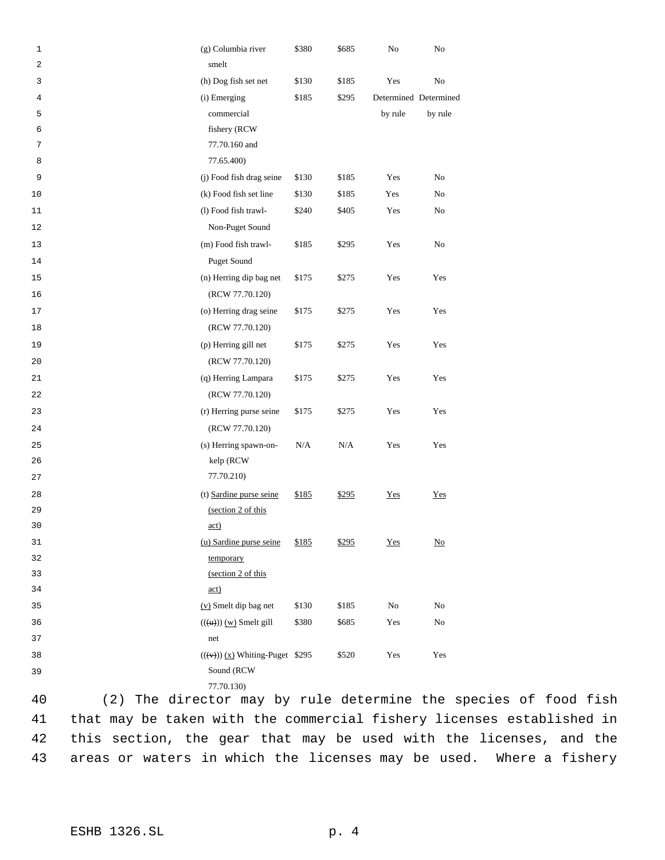| $\mathbf 1$<br>2 | (g) Columbia river<br>smelt                       | \$380 | \$685 | No                    | No                        |
|------------------|---------------------------------------------------|-------|-------|-----------------------|---------------------------|
| 3                | (h) Dog fish set net                              | \$130 | \$185 | Yes                   | No                        |
| 4                | (i) Emerging                                      | \$185 | \$295 | Determined Determined |                           |
| 5                | commercial                                        |       |       | by rule               | by rule                   |
| 6                | fishery (RCW                                      |       |       |                       |                           |
| 7                | 77.70.160 and                                     |       |       |                       |                           |
| 8                | 77.65.400)                                        |       |       |                       |                           |
| 9                | (j) Food fish drag seine                          | \$130 | \$185 | Yes                   | No                        |
| 10               | (k) Food fish set line                            | \$130 | \$185 | Yes                   | $\rm No$                  |
| 11               | (l) Food fish trawl-                              | \$240 | \$405 | Yes                   | No                        |
| 12               | Non-Puget Sound                                   |       |       |                       |                           |
| 13               | (m) Food fish trawl-                              | \$185 | \$295 | Yes                   | No                        |
| 14               | Puget Sound                                       |       |       |                       |                           |
| 15               | (n) Herring dip bag net                           | \$175 | \$275 | Yes                   | Yes                       |
| 16               | (RCW 77.70.120)                                   |       |       |                       |                           |
| 17               | (o) Herring drag seine                            | \$175 | \$275 | Yes                   | Yes                       |
| 18               | (RCW 77.70.120)                                   |       |       |                       |                           |
| 19               | (p) Herring gill net                              | \$175 | \$275 | Yes                   | Yes                       |
| 20               | (RCW 77.70.120)                                   |       |       |                       |                           |
| 21               | (q) Herring Lampara                               | \$175 | \$275 | Yes                   | Yes                       |
| 22               | (RCW 77.70.120)                                   |       |       |                       |                           |
| 23               | (r) Herring purse seine                           | \$175 | \$275 | Yes                   | Yes                       |
| 24               | (RCW 77.70.120)                                   |       |       |                       |                           |
| 25               | (s) Herring spawn-on-                             | N/A   | N/A   | Yes                   | Yes                       |
| 26               | kelp (RCW                                         |       |       |                       |                           |
| 27               | 77.70.210)                                        |       |       |                       |                           |
| 28               | (t) Sardine purse seine                           | \$185 | \$295 | Yes                   | $Yes$                     |
| 29               | (section 2 of this                                |       |       |                       |                           |
| 30               | $\underline{\text{act}}$                          |       |       |                       |                           |
| 31               | (u) Sardine purse seine                           | \$185 | \$295 | Yes                   | $\underline{\mathrm{No}}$ |
| 32               | temporary                                         |       |       |                       |                           |
| 33               | (section 2 of this                                |       |       |                       |                           |
| 34               | $\underline{\text{act}}$                          |       |       |                       |                           |
| 35               | (v) Smelt dip bag net                             | \$130 | \$185 | No                    | No                        |
| 36               | $((\text{u}))$ $(\text{w})$ Smelt gill            | \$380 | \$685 | Yes                   | $\rm No$                  |
| 37               | net                                               |       |       |                       |                           |
| 38               | $((\forall \rightarrow))$ (x) Whiting-Puget \$295 |       | \$520 | Yes                   | Yes                       |
| 39               | Sound (RCW<br>77.70.130)                          |       |       |                       |                           |
|                  |                                                   |       |       |                       |                           |

 (2) The director may by rule determine the species of food fish that may be taken with the commercial fishery licenses established in this section, the gear that may be used with the licenses, and the areas or waters in which the licenses may be used. Where a fishery